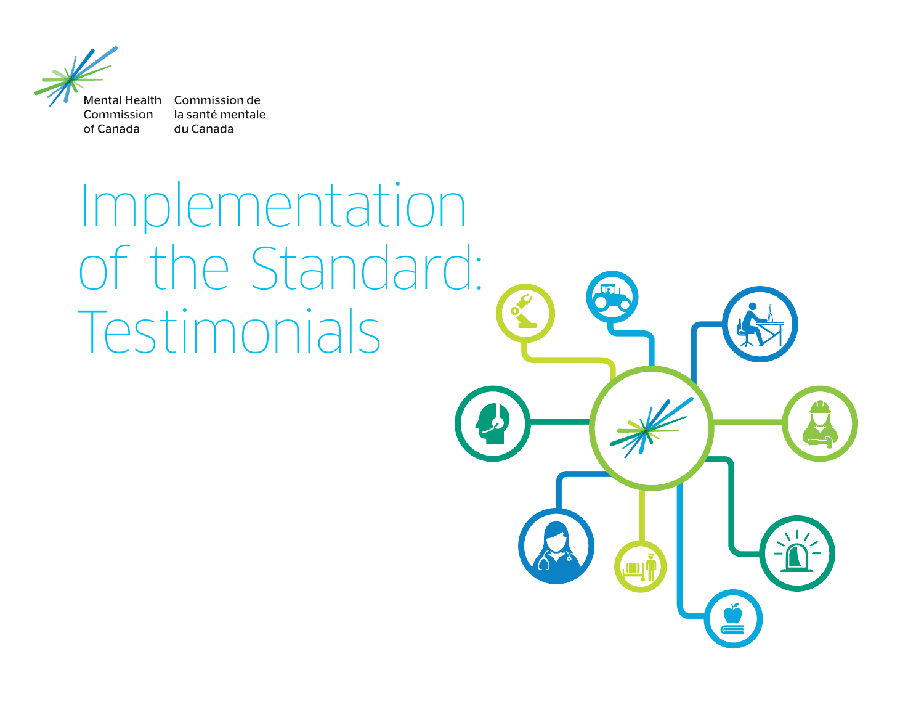

la santé mentale du Canada

Implementation of the Standard: Testimonials

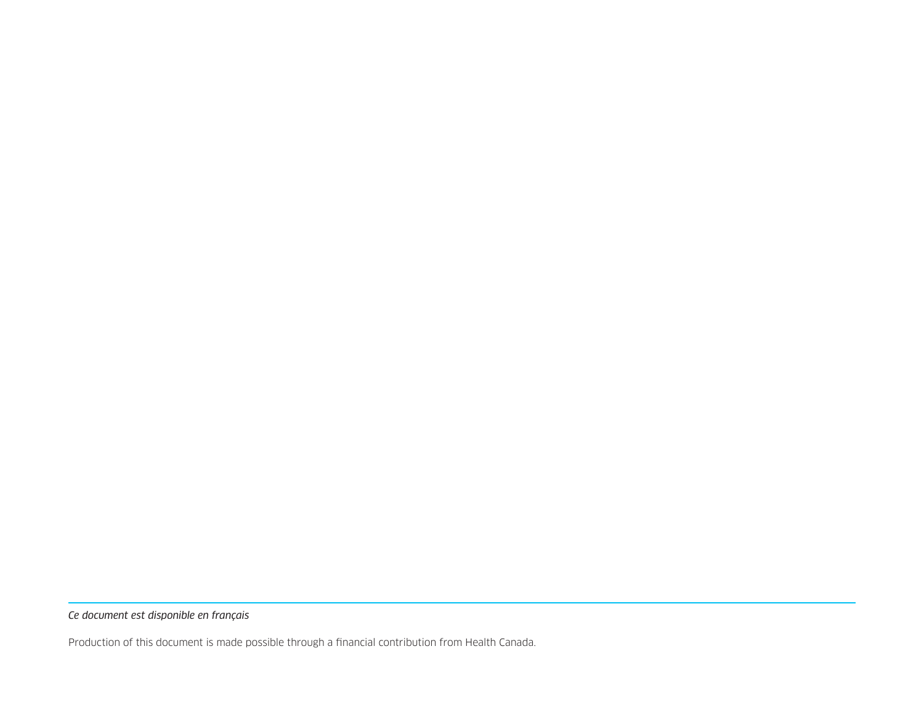*Ce document est disponible en français*

Production of this document is made possible through a financial contribution from Health Canada.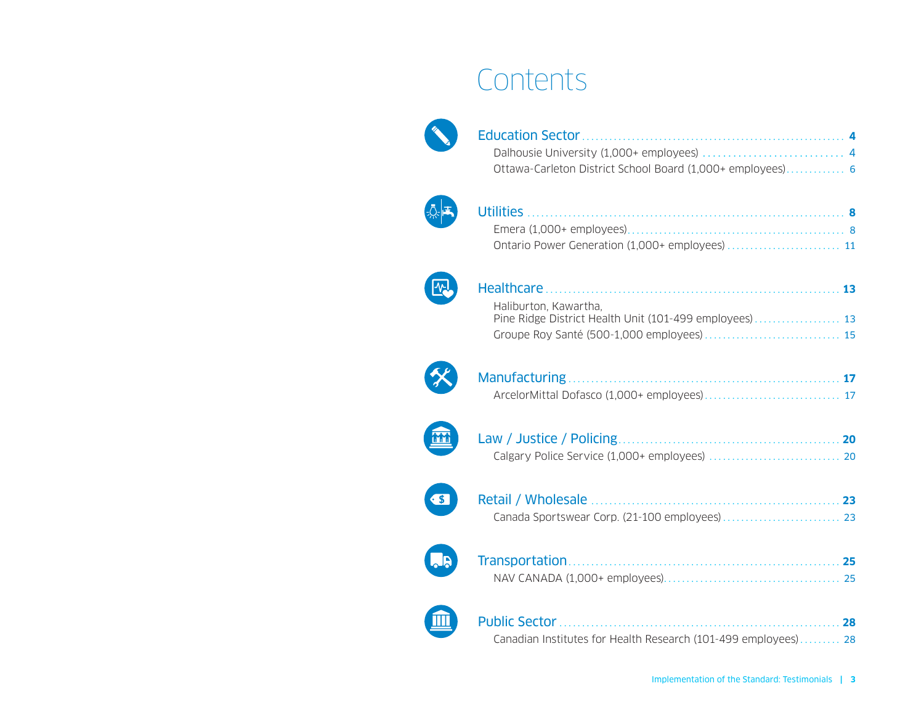# **Contents**



| Ottawa-Carleton District School Board (1,000+ employees) 6 |  |
|------------------------------------------------------------|--|





| Haliburton, Kawartha, |  |
|-----------------------|--|
|                       |  |
|                       |  |









| Canadian Institutes for Health Research (101-499 employees) 28 |  |
|----------------------------------------------------------------|--|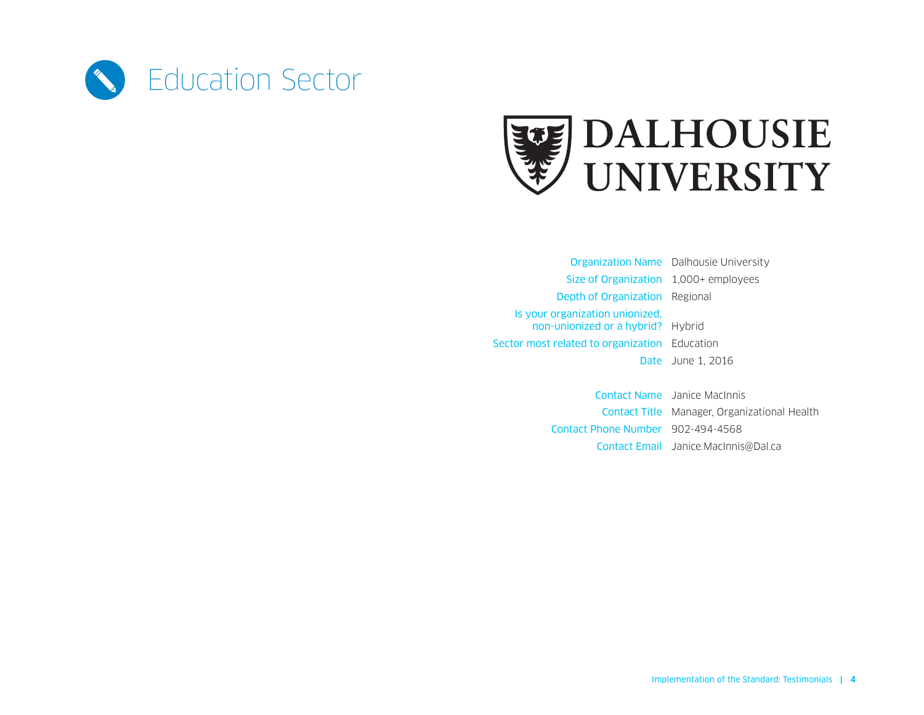<span id="page-3-0"></span>



Organization Name Dalhousie University Size of Organization 1,000+ employees Depth of Organization Regional Is your organization unionized, non‑unionized or a hybrid? Hybrid Sector most related to organization Education Date June 1, 2016

> Contact Name Janice MacInnis Contact Title Manager, Organizational Health Contact Phone Number 902-494-4568 Contact Email [Janice.MacInnis@Dal.ca](mailto:Janice.MacInnis%40Dal.ca?subject=)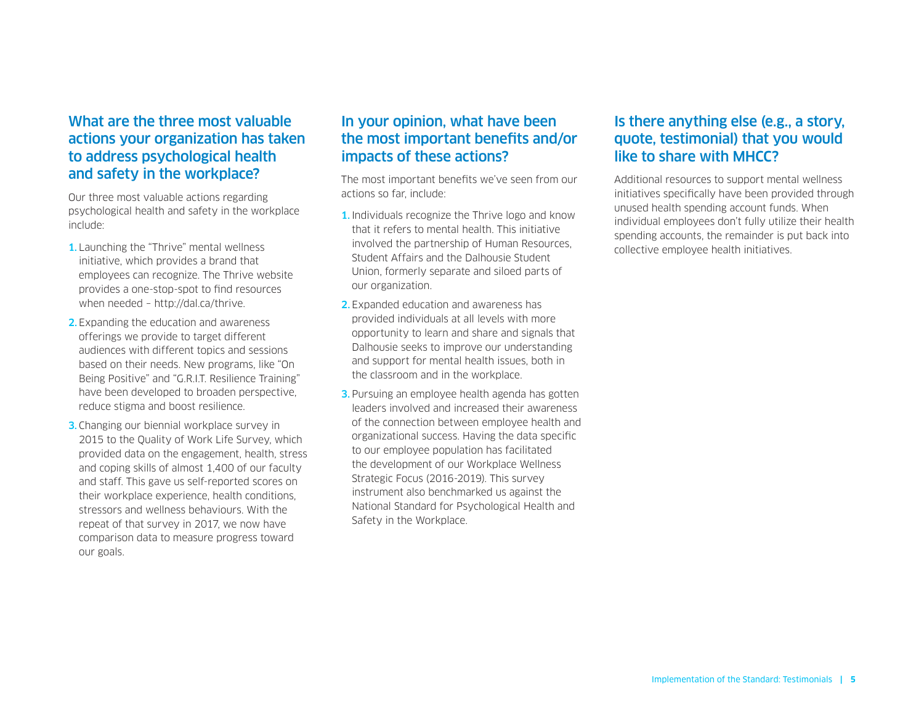Our three most valuable actions regarding psychological health and safety in the workplace include:

- 1. Launching the "Thrive" mental wellness initiative, which provides a brand that employees can recognize. The Thrive website provides a one-stop-spot to find resources when needed – http://dal.ca/thrive.
- 2. Expanding the education and awareness offerings we provide to target different audiences with different topics and sessions based on their needs. New programs, like "On Being Positive" and "G.R.I.T. Resilience Training" have been developed to broaden perspective, reduce stigma and boost resilience.
- **3.** Changing our biennial workplace survey in 2015 to the Quality of Work Life Survey, which provided data on the engagement, health, stress and coping skills of almost 1,400 of our faculty and staff. This gave us self-reported scores on their workplace experience, health conditions, stressors and wellness behaviours. With the repeat of that survey in 2017, we now have comparison data to measure progress toward our goals.

# In your opinion, what have been the most important benefits and/or impacts of these actions?

The most important benefits we've seen from our actions so far, include:

- 1. Individuals recognize the Thrive logo and know that it refers to mental health. This initiative involved the partnership of Human Resources, Student Affairs and the Dalhousie Student Union, formerly separate and siloed parts of our organization.
- 2.Expanded education and awareness has provided individuals at all levels with more opportunity to learn and share and signals that Dalhousie seeks to improve our understanding and support for mental health issues, both in the classroom and in the workplace.
- **3.** Pursuing an employee health agenda has gotten leaders involved and increased their awareness of the connection between employee health and organizational success. Having the data specific to our employee population has facilitated the development of our Workplace Wellness Strategic Focus (2016-2019). This survey instrument also benchmarked us against the National Standard for Psychological Health and Safety in the Workplace.

#### Is there anything else (e.g., a story, quote, testimonial) that you would like to share with MHCC?

Additional resources to support mental wellness initiatives specifically have been provided through unused health spending account funds. When individual employees don't fully utilize their health spending accounts, the remainder is put back into collective employee health initiatives.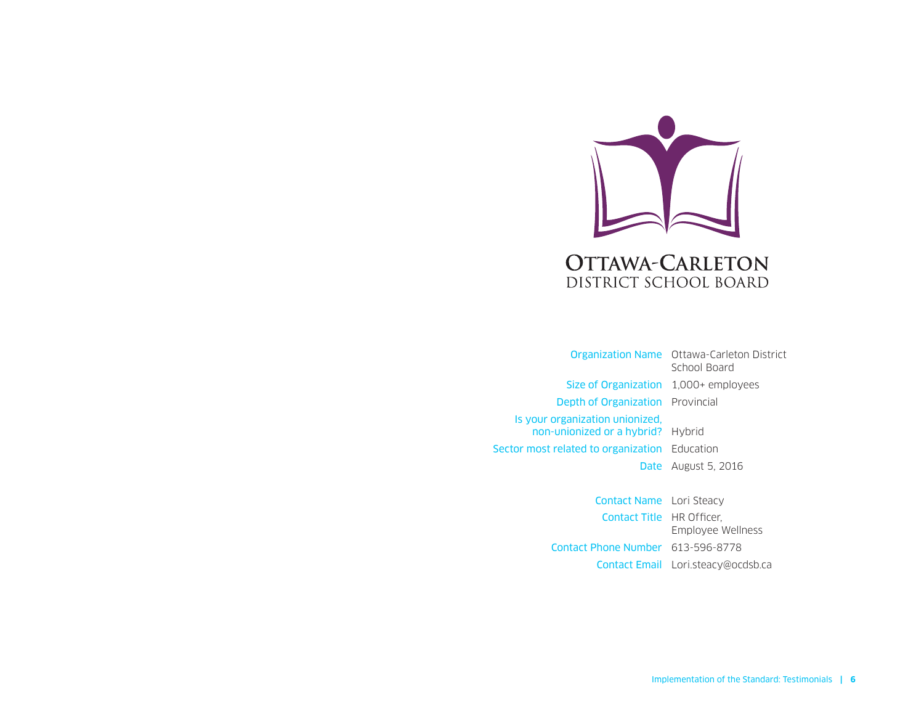<span id="page-5-0"></span>

Organization Name Ottawa-Carleton District School Board Size of Organization 1,000+ employees Depth of Organization Provincial Is your organization unionized, non-unionized or a hybrid? Hybrid Sector most related to organization Education Date August 5, 2016

> Contact Name Lori Steacy Contact Title HR Officer, Employee Wellness Contact Phone Number 613-596-8778 Contact Email [Lori.steacy@ocdsb.ca](mailto:Lori.steacy%40ocdsb.ca?subject=)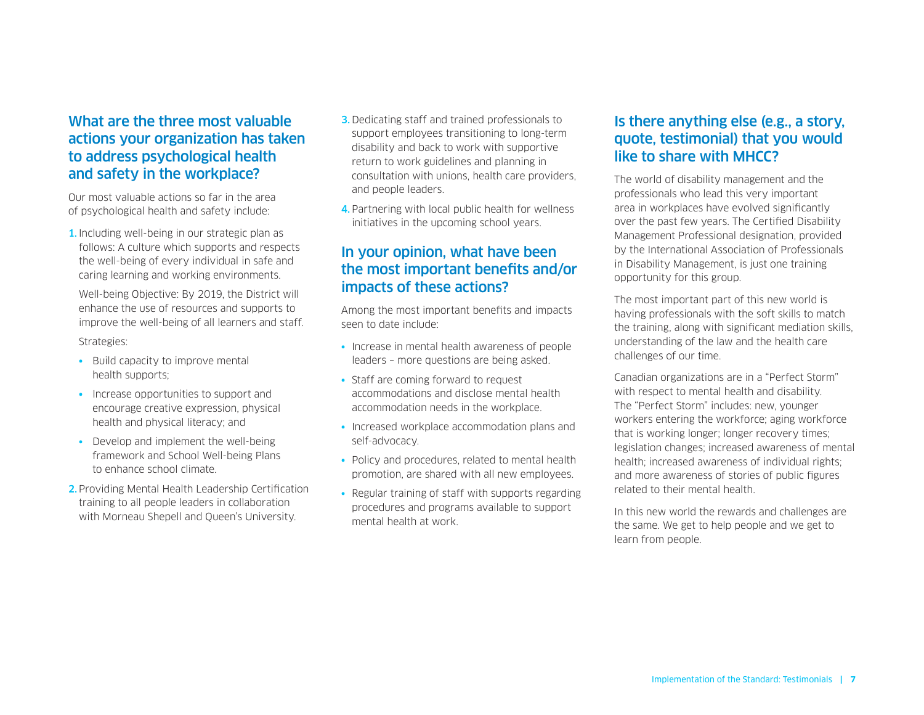Our most valuable actions so far in the area of psychological health and safety include:

1. Including well-being in our strategic plan as follows: A culture which supports and respects the well-being of every individual in safe and caring learning and working environments.

Well-being Objective: By 2019, the District will enhance the use of resources and supports to improve the well-being of all learners and staff.

Strategies:

- Build capacity to improve mental health supports;
- Increase opportunities to support and encourage creative expression, physical health and physical literacy; and
- Develop and implement the well-being framework and School Well-being Plans to enhance school climate.
- 2. Providing Mental Health Leadership Certification training to all people leaders in collaboration with Morneau Shepell and Queen's University.
- 3. Dedicating staff and trained professionals to support employees transitioning to long-term disability and back to work with supportive return to work guidelines and planning in consultation with unions, health care providers, and people leaders.
- 4. Partnering with local public health for wellness initiatives in the upcoming school years.

# In your opinion, what have been the most important benefits and/or impacts of these actions?

Among the most important benefits and impacts seen to date include:

- Increase in mental health awareness of people leaders – more questions are being asked.
- Staff are coming forward to request accommodations and disclose mental health accommodation needs in the workplace.
- Increased workplace accommodation plans and self-advocacy.
- Policy and procedures, related to mental health promotion, are shared with all new employees.
- Regular training of staff with supports regarding procedures and programs available to support mental health at work.

#### Is there anything else (e.g., a story, quote, testimonial) that you would like to share with MHCC?

The world of disability management and the professionals who lead this very important area in workplaces have evolved significantly over the past few years. The Certified Disability Management Professional designation, provided by the International Association of Professionals in Disability Management, is just one training opportunity for this group.

The most important part of this new world is having professionals with the soft skills to match the training, along with significant mediation skills, understanding of the law and the health care challenges of our time.

Canadian organizations are in a "Perfect Storm" with respect to mental health and disability. The "Perfect Storm" includes: new, younger workers entering the workforce; aging workforce that is working longer; longer recovery times; legislation changes; increased awareness of mental health; increased awareness of individual rights; and more awareness of stories of public figures related to their mental health.

In this new world the rewards and challenges are the same. We get to help people and we get to learn from people.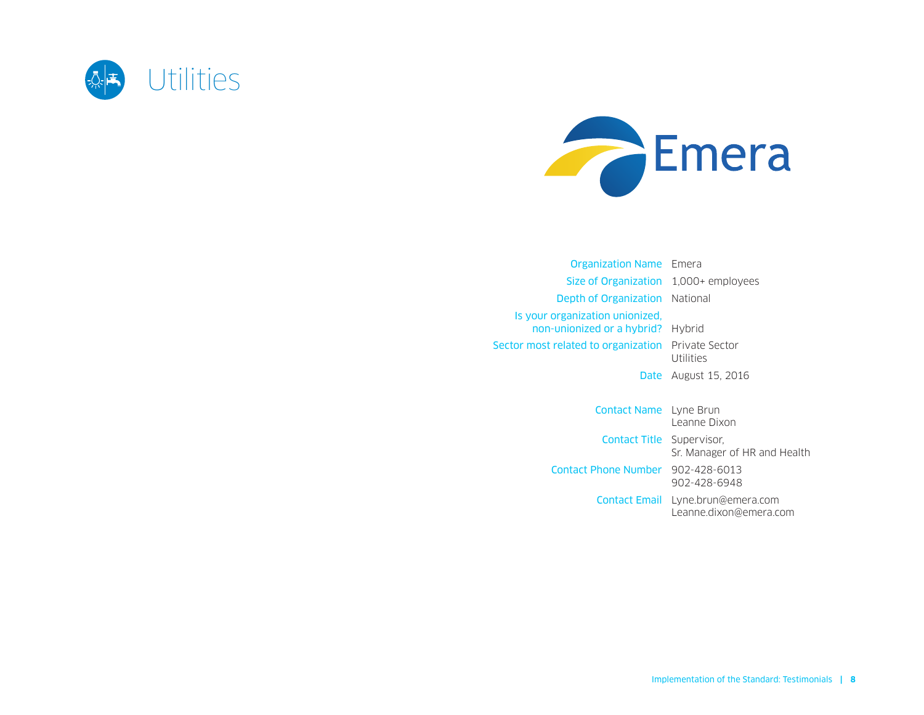<span id="page-7-0"></span>



| <b>Organization Name</b> Emera                                       |                      |
|----------------------------------------------------------------------|----------------------|
| Size of Organization 1,000+ employees                                |                      |
| <b>Depth of Organization</b> National                                |                      |
| Is your organization unionized.<br>non-unionized or a hybrid? Hybrid |                      |
| <b>Sector most related to organization</b> Private Sector            | Utilities            |
|                                                                      | Date August 15, 2016 |
|                                                                      |                      |
| Contact Namo Luno Prun                                               |                      |

| <b>CONTACT MANNEL LYTTE DI UNI</b> | Leanne Dixon                                                |
|------------------------------------|-------------------------------------------------------------|
| <b>Contact Title Supervisor,</b>   | Sr. Manager of HR and Health                                |
| Contact Phone Number 902-428-6013  | 902-428-6948                                                |
|                                    | Contact Email Lyne.brun@emera.com<br>Leanne.dixon@emera.com |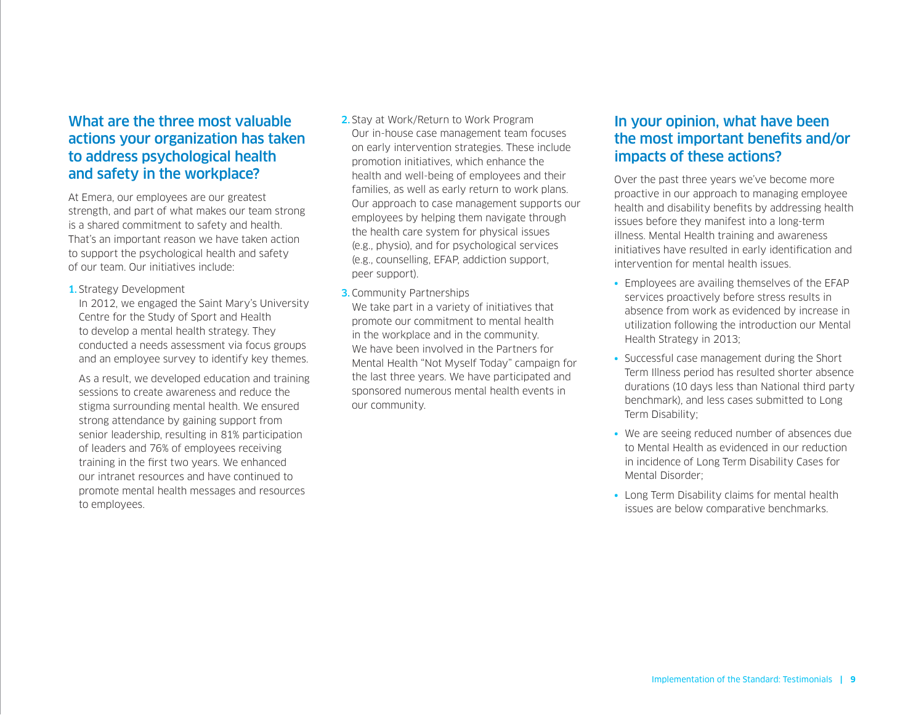At Emera, our employees are our greatest strength, and part of what makes our team strong is a shared commitment to safety and health. That's an important reason we have taken action to support the psychological health and safety of our team. Our initiatives include:

#### 1. Strategy Development

In 2012, we engaged the Saint Mary's University Centre for the Study of Sport and Health to develop a mental health strategy. They conducted a needs assessment via focus groups and an employee survey to identify key themes.

As a result, we developed education and training sessions to create awareness and reduce the stigma surrounding mental health. We ensured strong attendance by gaining support from senior leadership, resulting in 81% participation of leaders and 76% of employees receiving training in the first two years. We enhanced our intranet resources and have continued to promote mental health messages and resources to employees.

- 2. Stay at Work/Return to Work Program Our in-house case management team focuses on early intervention strategies. These include promotion initiatives, which enhance the health and well-being of employees and their families, as well as early return to work plans. Our approach to case management supports our employees by helping them navigate through the health care system for physical issues (e.g., physio), and for psychological services (e.g., counselling, EFAP, addiction support, peer support).
- 3. Community Partnerships We take part in a variety of initiatives that promote our commitment to mental health in the workplace and in the community. We have been involved in the Partners for Mental Health "Not Myself Today" campaign for the last three years. We have participated and sponsored numerous mental health events in our community.

#### In your opinion, what have been the most important benefits and/or impacts of these actions?

Over the past three years we've become more proactive in our approach to managing employee health and disability benefits by addressing health issues before they manifest into a long-term illness. Mental Health training and awareness initiatives have resulted in early identification and intervention for mental health issues.

- Employees are availing themselves of the EFAP services proactively before stress results in absence from work as evidenced by increase in utilization following the introduction our Mental Health Strategy in 2013;
- Successful case management during the Short Term Illness period has resulted shorter absence durations (10 days less than National third party benchmark), and less cases submitted to Long Term Disability;
- We are seeing reduced number of absences due to Mental Health as evidenced in our reduction in incidence of Long Term Disability Cases for Mental Disorder;
- Long Term Disability claims for mental health issues are below comparative benchmarks.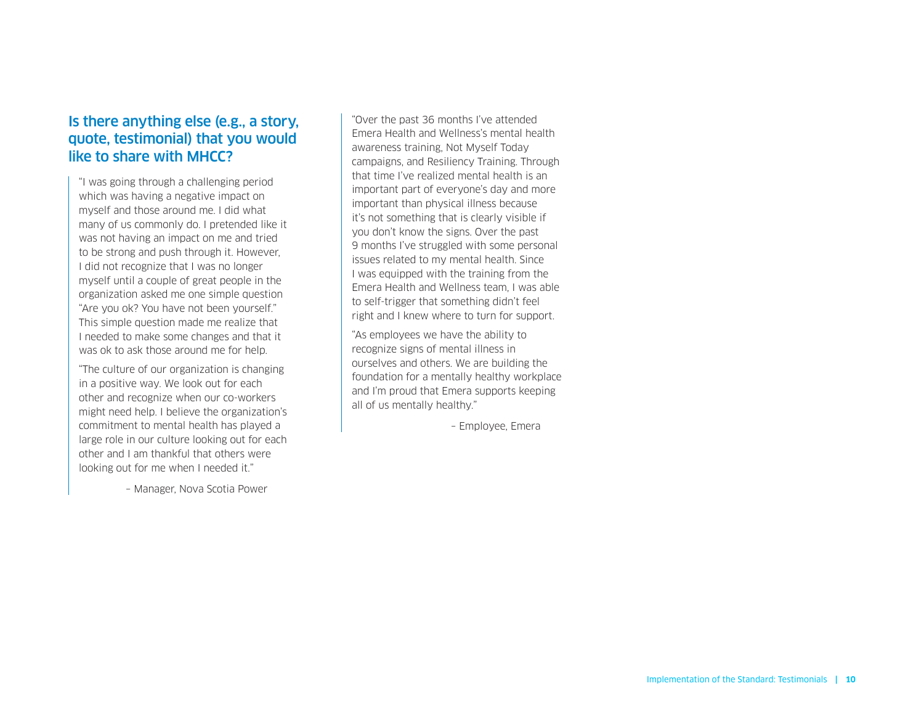### Is there anything else (e.g., a story, quote, testimonial) that you would like to share with MHCC?

"I was going through a challenging period which was having a negative impact on myself and those around me. I did what many of us commonly do. I pretended like it was not having an impact on me and tried to be strong and push through it. However, I did not recognize that I was no longer myself until a couple of great people in the organization asked me one simple question "Are you ok? You have not been yourself." This simple question made me realize that I needed to make some changes and that it was ok to ask those around me for help.

"The culture of our organization is changing in a positive way. We look out for each other and recognize when our co-workers might need help. I believe the organization's commitment to mental health has played a large role in our culture looking out for each other and I am thankful that others were looking out for me when I needed it."

– Manager, Nova Scotia Power

"Over the past 36 months I've attended Emera Health and Wellness's mental health awareness training, Not Myself Today campaigns, and Resiliency Training. Through that time I've realized mental health is an important part of everyone's day and more important than physical illness because it's not something that is clearly visible if you don't know the signs. Over the past 9 months I've struggled with some personal issues related to my mental health. Since I was equipped with the training from the Emera Health and Wellness team, I was able to self-trigger that something didn't feel right and I knew where to turn for support.

"As employees we have the ability to recognize signs of mental illness in ourselves and others. We are building the foundation for a mentally healthy workplace and I'm proud that Emera supports keeping all of us mentally healthy."

– Employee, Emera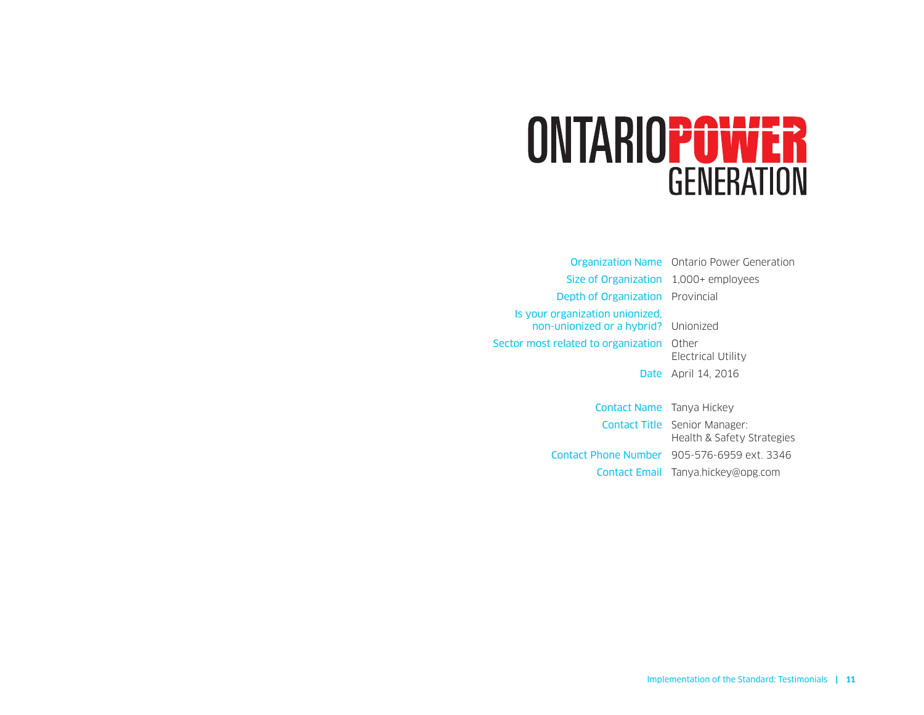# <span id="page-10-0"></span>ONTARIOPOWER **GENERATION**

Organization Name Ontario Power Generation Size of Organization 1,000+ employees Depth of Organization Provincial Is your organization unionized, non-unionized or a hybrid? Unionized Sector most related to organization Other Electrical Utility Date April 14, 2016 Contact Name Tanya Hickey

Contact Title Senior Manager: Health & Safety Strategies Contact Phone Number 905-576-6959 ext. 3346 Contact Email [Tanya.hickey@opg.com](mailto:Tanya.hickey%40opg.com?subject=)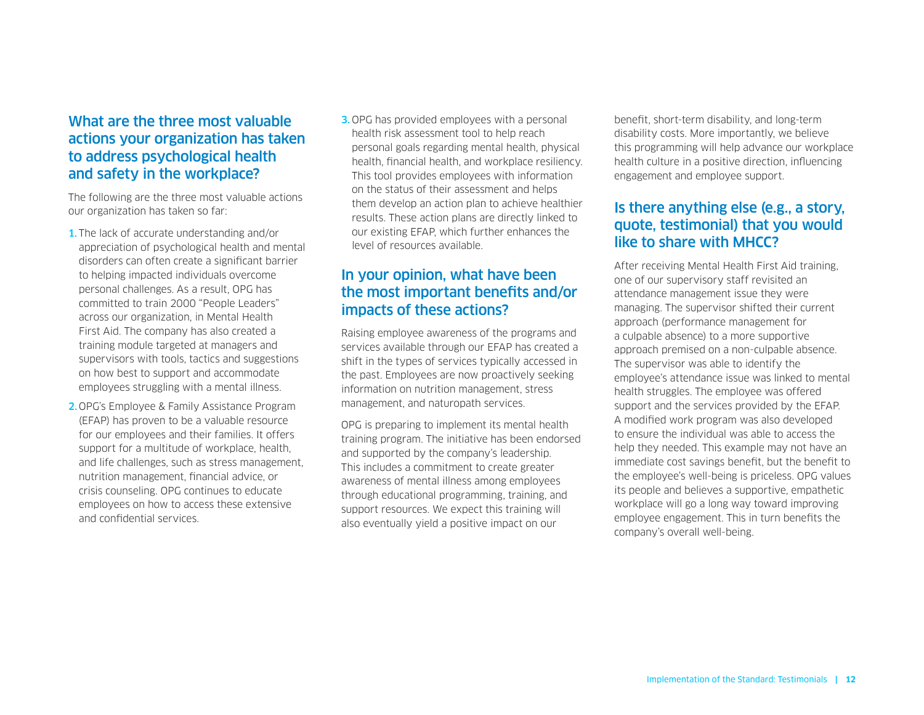The following are the three most valuable actions our organization has taken so far:

- 1. The lack of accurate understanding and/or appreciation of psychological health and mental disorders can often create a significant barrier to helping impacted individuals overcome personal challenges. As a result, OPG has committed to train 2000 "People Leaders" across our organization, in Mental Health First Aid. The company has also created a training module targeted at managers and supervisors with tools, tactics and suggestions on how best to support and accommodate employees struggling with a mental illness.
- 2. OPG's Employee & Family Assistance Program (EFAP) has proven to be a valuable resource for our employees and their families. It offers support for a multitude of workplace, health, and life challenges, such as stress management, nutrition management, financial advice, or crisis counseling. OPG continues to educate employees on how to access these extensive and confidential services.

3. OPG has provided employees with a personal health risk assessment tool to help reach personal goals regarding mental health, physical health, financial health, and workplace resiliency. This tool provides employees with information on the status of their assessment and helps them develop an action plan to achieve healthier results. These action plans are directly linked to our existing EFAP, which further enhances the level of resources available.

# In your opinion, what have been the most important benefits and/or impacts of these actions?

Raising employee awareness of the programs and services available through our EFAP has created a shift in the types of services typically accessed in the past. Employees are now proactively seeking information on nutrition management, stress management, and naturopath services.

OPG is preparing to implement its mental health training program. The initiative has been endorsed and supported by the company's leadership. This includes a commitment to create greater awareness of mental illness among employees through educational programming, training, and support resources. We expect this training will also eventually yield a positive impact on our

benefit, short-term disability, and long-term disability costs. More importantly, we believe this programming will help advance our workplace health culture in a positive direction, influencing engagement and employee support.

# Is there anything else (e.g., a story, quote, testimonial) that you would like to share with MHCC?

After receiving Mental Health First Aid training, one of our supervisory staff revisited an attendance management issue they were managing. The supervisor shifted their current approach (performance management for a culpable absence) to a more supportive approach premised on a non-culpable absence. The supervisor was able to identify the employee's attendance issue was linked to mental health struggles. The employee was offered support and the services provided by the EFAP. A modified work program was also developed to ensure the individual was able to access the help they needed. This example may not have an immediate cost savings benefit, but the benefit to the employee's well-being is priceless. OPG values its people and believes a supportive, empathetic workplace will go a long way toward improving employee engagement. This in turn benefits the company's overall well-being.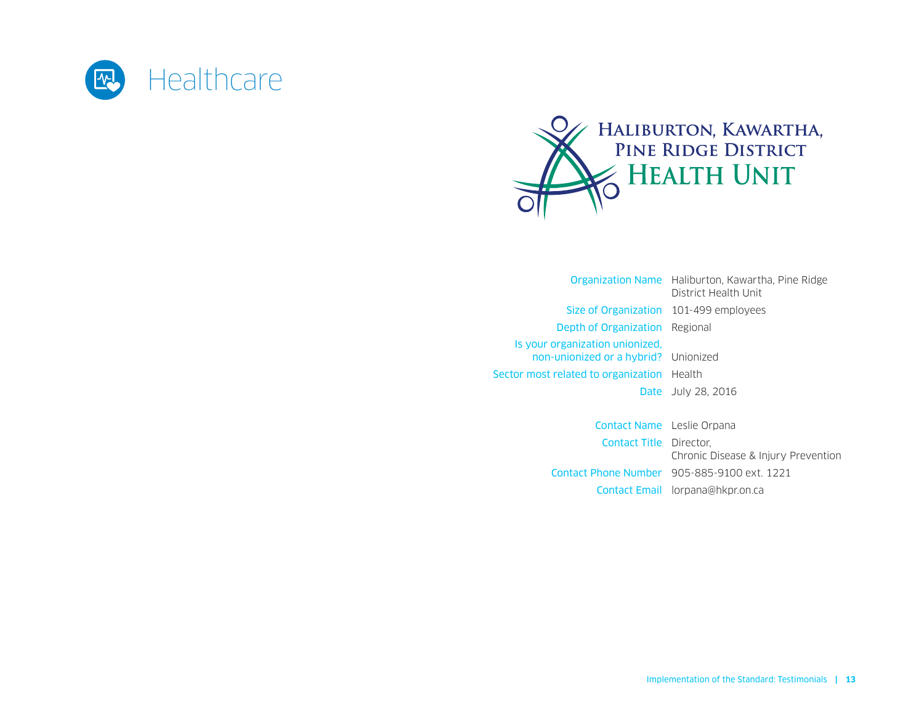<span id="page-12-0"></span>



|                                                                                                                       | <b>Organization Name</b> Haliburton, Kawartha, Pine Ridge<br>District Health Unit |
|-----------------------------------------------------------------------------------------------------------------------|-----------------------------------------------------------------------------------|
| Size of Organization 101-499 employees                                                                                |                                                                                   |
| <b>Depth of Organization</b> Regional                                                                                 |                                                                                   |
| Is your organization unionized.<br>non-unionized or a hybrid? Unionized<br>Sector most related to organization Health | <b>Date</b> July 28, 2016                                                         |
|                                                                                                                       |                                                                                   |

Contact Name Leslie Orpana Contact Title Director, Chronic Disease & Injury Prevention Contact Phone Number 905-885-9100 ext. 1221 Contact Email [lorpana@hkpr.on.ca](mailto:lorpana%40hkpr.on.ca?subject=)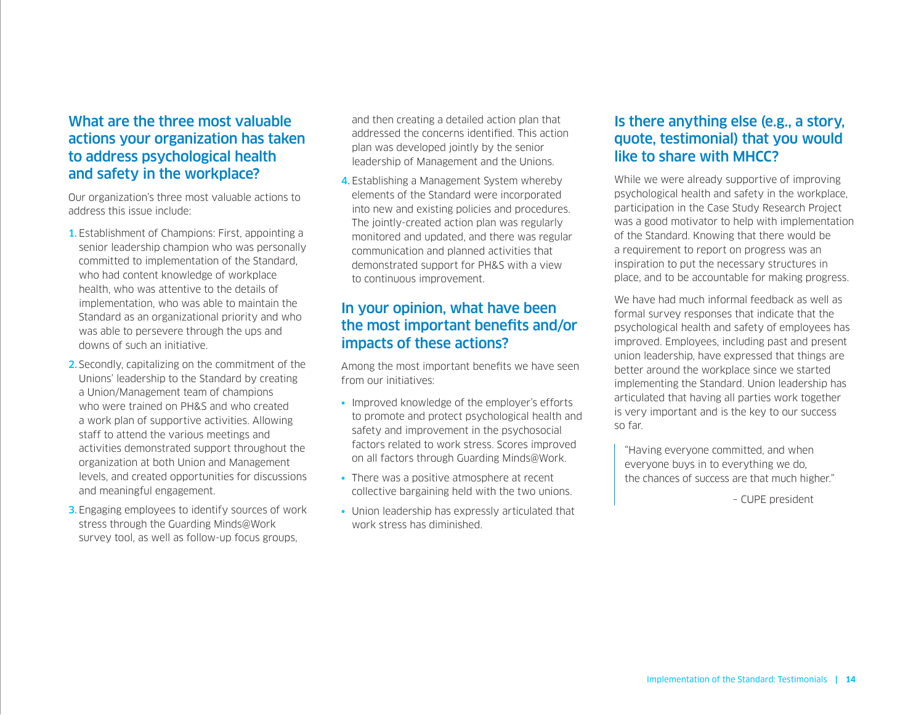Our organization's three most valuable actions to address this issue include:

- 1. Establishment of Champions: First, appointing a senior leadership champion who was personally committed to implementation of the Standard, who had content knowledge of workplace health, who was attentive to the details of implementation, who was able to maintain the Standard as an organizational priority and who was able to persevere through the ups and downs of such an initiative.
- 2. Secondly, capitalizing on the commitment of the Unions' leadership to the Standard by creating a Union/Management team of champions who were trained on PH&S and who created a work plan of supportive activities. Allowing staff to attend the various meetings and activities demonstrated support throughout the organization at both Union and Management levels, and created opportunities for discussions and meaningful engagement.
- **3.** Engaging employees to identify sources of work stress through the Guarding Minds@Work survey tool, as well as follow-up focus groups,

and then creating a detailed action plan that addressed the concerns identified. This action plan was developed jointly by the senior leadership of Management and the Unions.

4. Establishing a Management System whereby elements of the Standard were incorporated into new and existing policies and procedures. The jointly-created action plan was regularly monitored and updated, and there was regular communication and planned activities that demonstrated support for PH&S with a view to continuous improvement.

### In your opinion, what have been the most important benefits and/or impacts of these actions?

Among the most important benefits we have seen from our initiatives:

- Improved knowledge of the employer's efforts to promote and protect psychological health and safety and improvement in the psychosocial factors related to work stress. Scores improved on all factors through Guarding Minds@Work.
- There was a positive atmosphere at recent collective bargaining held with the two unions.
- Union leadership has expressly articulated that work stress has diminished.

#### Is there anything else (e.g., a story, quote, testimonial) that you would like to share with MHCC?

While we were already supportive of improving psychological health and safety in the workplace, participation in the Case Study Research Project was a good motivator to help with implementation of the Standard. Knowing that there would be a requirement to report on progress was an inspiration to put the necessary structures in place, and to be accountable for making progress.

We have had much informal feedback as well as formal survey responses that indicate that the psychological health and safety of employees has improved. Employees, including past and present union leadership, have expressed that things are better around the workplace since we started implementing the Standard. Union leadership has articulated that having all parties work together is very important and is the key to our success so far.

"Having everyone committed, and when everyone buys in to everything we do, the chances of success are that much higher."

– CUPE president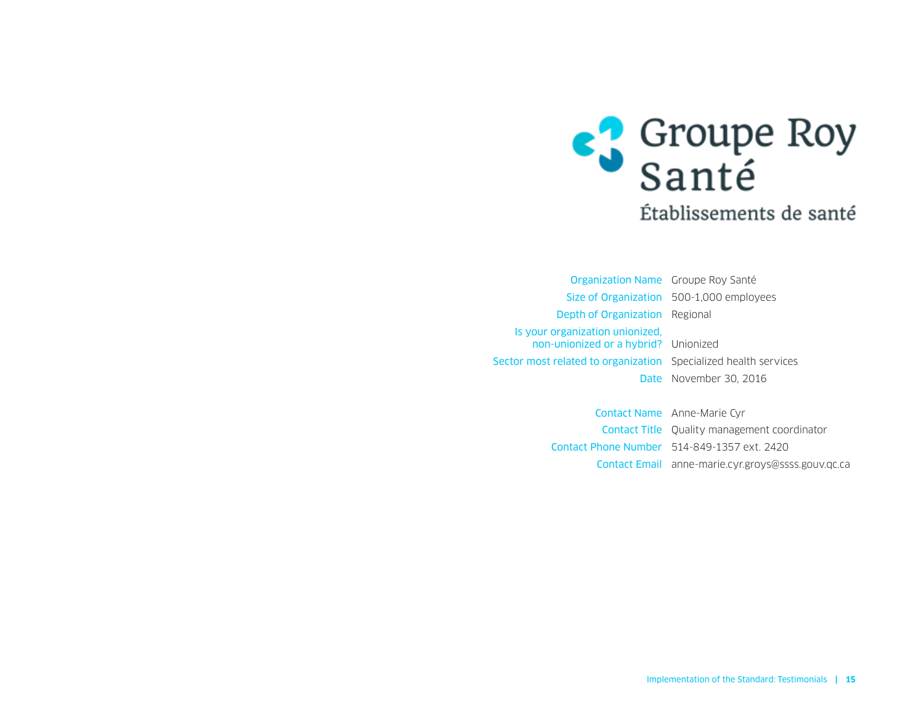

<span id="page-14-0"></span>Organization Name Groupe Roy Santé Size of Organization 500-1,000 employees Depth of Organization Regional Is your organization unionized, non‑unionized or a hybrid? Unionized Sector most related to organization Specialized health services Date November 30, 2016

> Contact Name Anne-Marie Cyr Contact Title Quality management coordinator Contact Phone Number 514-849-1357 ext. 2420 Contact Email [anne-marie.cyr.groys@ssss.gouv.qc.ca](mailto:anne-marie.cyr.groys%40ssss.gouv.qc.ca?subject=)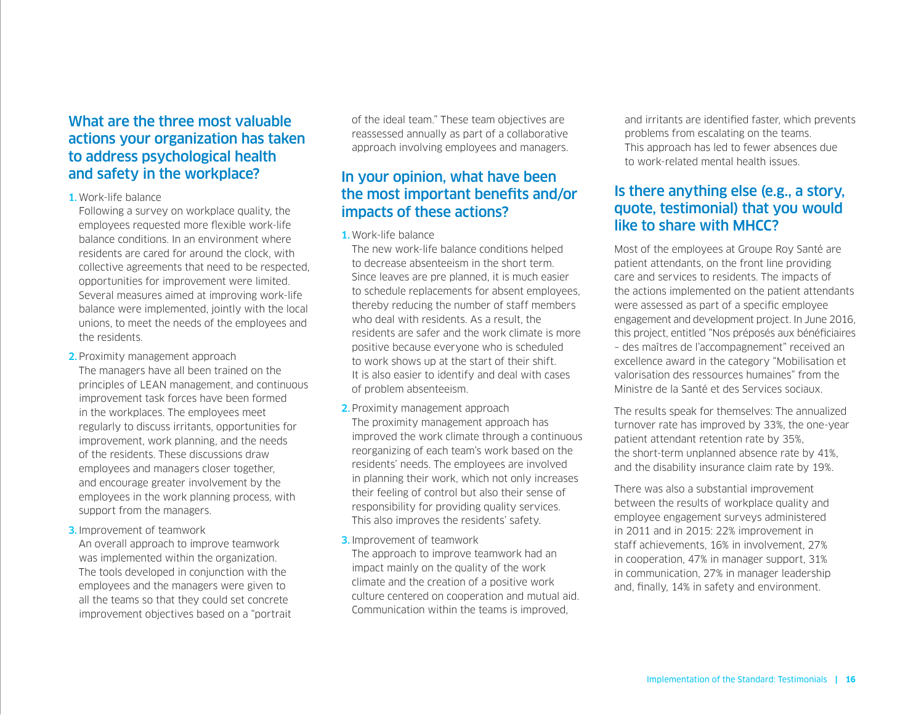#### 1.Work-life balance

Following a survey on workplace quality, the employees requested more flexible work-life balance conditions. In an environment where residents are cared for around the clock, with collective agreements that need to be respected, opportunities for improvement were limited. Several measures aimed at improving work-life balance were implemented, jointly with the local unions, to meet the needs of the employees and the residents.

2. Proximity management approach The managers have all been trained on the principles of LEAN management, and continuous improvement task forces have been formed in the workplaces. The employees meet regularly to discuss irritants, opportunities for improvement, work planning, and the needs of the residents. These discussions draw employees and managers closer together, and encourage greater involvement by the employees in the work planning process, with support from the managers.

3. Improvement of teamwork

An overall approach to improve teamwork was implemented within the organization. The tools developed in conjunction with the employees and the managers were given to all the teams so that they could set concrete improvement objectives based on a "portrait of the ideal team." These team objectives are reassessed annually as part of a collaborative approach involving employees and managers.

# In your opinion, what have been the most important benefits and/or impacts of these actions?

#### 1.Work-life balance

The new work-life balance conditions helped to decrease absenteeism in the short term. Since leaves are pre planned, it is much easier to schedule replacements for absent employees, thereby reducing the number of staff members who deal with residents. As a result, the residents are safer and the work climate is more positive because everyone who is scheduled to work shows up at the start of their shift. It is also easier to identify and deal with cases of problem absenteeism.

- 2. Proximity management approach The proximity management approach has improved the work climate through a continuous reorganizing of each team's work based on the residents' needs. The employees are involved in planning their work, which not only increases their feeling of control but also their sense of responsibility for providing quality services. This also improves the residents' safety.
- 3. Improvement of teamwork

The approach to improve teamwork had an impact mainly on the quality of the work climate and the creation of a positive work culture centered on cooperation and mutual aid. Communication within the teams is improved,

and irritants are identified faster, which prevents problems from escalating on the teams. This approach has led to fewer absences due to work-related mental health issues.

## Is there anything else (e.g., a story, quote, testimonial) that you would like to share with MHCC?

Most of the employees at Groupe Roy Santé are patient attendants, on the front line providing care and services to residents. The impacts of the actions implemented on the patient attendants were assessed as part of a specific employee engagement and development project. In June 2016, this project, entitled "Nos préposés aux bénéficiaires – des maîtres de l'accompagnement" received an excellence award in the category "Mobilisation et valorisation des ressources humaines" from the Ministre de la Santé et des Services sociaux.

The results speak for themselves: The annualized turnover rate has improved by 33%, the one-year patient attendant retention rate by 35%, the short-term unplanned absence rate by 41%, and the disability insurance claim rate by 19%.

There was also a substantial improvement between the results of workplace quality and employee engagement surveys administered in 2011 and in 2015: 22% improvement in staff achievements, 16% in involvement, 27% in cooperation, 47% in manager support, 31% in communication, 27% in manager leadership and, finally, 14% in safety and environment.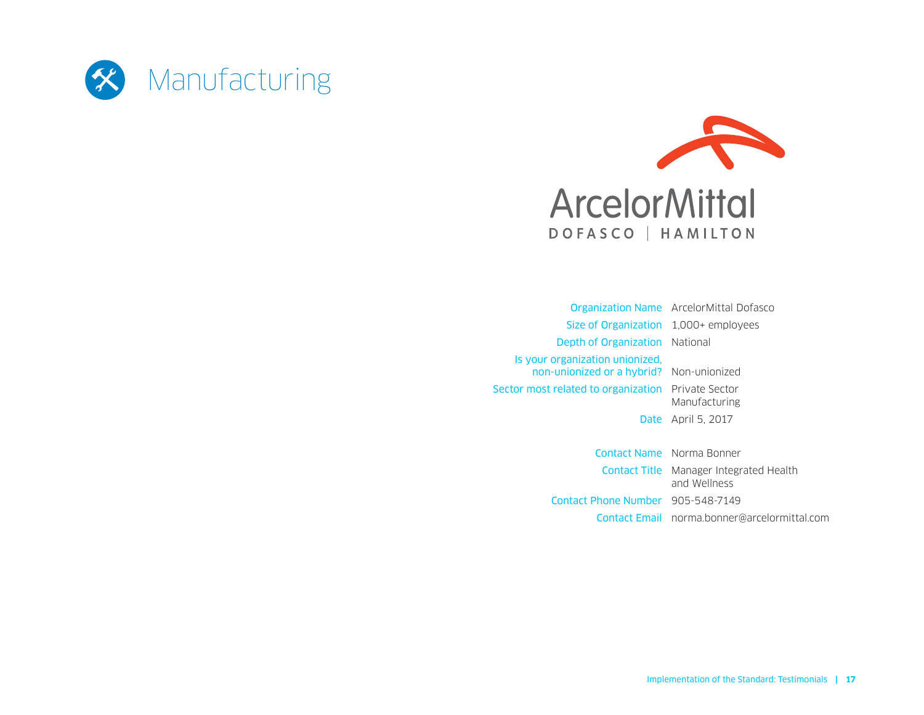<span id="page-16-0"></span>



|                                                                             | <b>Organization Name</b> ArcelorMittal Dofasco                 |
|-----------------------------------------------------------------------------|----------------------------------------------------------------|
| Size of Organization                                                        | $1,000+$ employees                                             |
| Depth of Organization                                                       | National                                                       |
| Is your organization unionized.<br>non-unionized or a hybrid? Non-unionized |                                                                |
| <b>Sector most related to organization</b> Private Sector                   | Manufacturing                                                  |
|                                                                             | <b>Date</b> April 5, 2017                                      |
|                                                                             | Contact Name Norma Bonner                                      |
|                                                                             | <b>Contact Title</b> Manager Integrated Health<br>and Wellness |
| Contact Phone Number 905-548-7149                                           |                                                                |
|                                                                             | <b>Contact Email</b> norma.bonner@arcelormittal.com            |
|                                                                             |                                                                |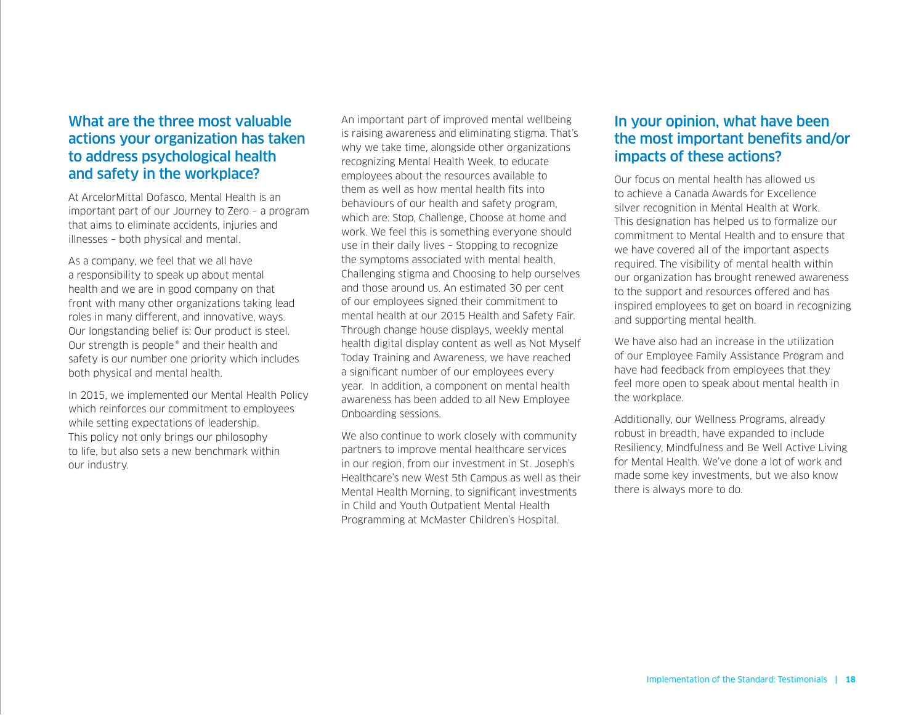At ArcelorMittal Dofasco, Mental Health is an important part of our Journey to Zero – a program that aims to eliminate accidents, injuries and illnesses – both physical and mental.

As a company, we feel that we all have a responsibility to speak up about mental health and we are in good company on that front with many other organizations taking lead roles in many different, and innovative, ways. Our longstanding belief is: Our product is steel. Our strength is people® and their health and safety is our number one priority which includes both physical and mental health.

In 2015, we implemented our Mental Health Policy which reinforces our commitment to employees while setting expectations of leadership. This policy not only brings our philosophy to life, but also sets a new benchmark within our industry.

An important part of improved mental wellbeing is raising awareness and eliminating stigma. That's why we take time, alongside other organizations recognizing Mental Health Week, to educate employees about the resources available to them as well as how mental health fits into behaviours of our health and safety program, which are: Stop, Challenge, Choose at home and work. We feel this is something everyone should use in their daily lives – Stopping to recognize the symptoms associated with mental health, Challenging stigma and Choosing to help ourselves and those around us. An estimated 30 per cent of our employees signed their commitment to mental health at our 2015 Health and Safety Fair. Through change house displays, weekly mental health digital display content as well as Not Myself Today Training and Awareness, we have reached a significant number of our employees every year. In addition, a component on mental health awareness has been added to all New Employee Onboarding sessions.

We also continue to work closely with community partners to improve mental healthcare services in our region, from our investment in St. Joseph's Healthcare's new West 5th Campus as well as their Mental Health Morning, to significant investments in Child and Youth Outpatient Mental Health Programming at McMaster Children's Hospital.

#### In your opinion, what have been the most important benefits and/or impacts of these actions?

Our focus on mental health has allowed us to achieve a Canada Awards for Excellence silver recognition in Mental Health at Work. This designation has helped us to formalize our commitment to Mental Health and to ensure that we have covered all of the important aspects required. The visibility of mental health within our organization has brought renewed awareness to the support and resources offered and has inspired employees to get on board in recognizing and supporting mental health.

We have also had an increase in the utilization of our Employee Family Assistance Program and have had feedback from employees that they feel more open to speak about mental health in the workplace.

Additionally, our Wellness Programs, already robust in breadth, have expanded to include Resiliency, Mindfulness and Be Well Active Living for Mental Health. We've done a lot of work and made some key investments, but we also know there is always more to do.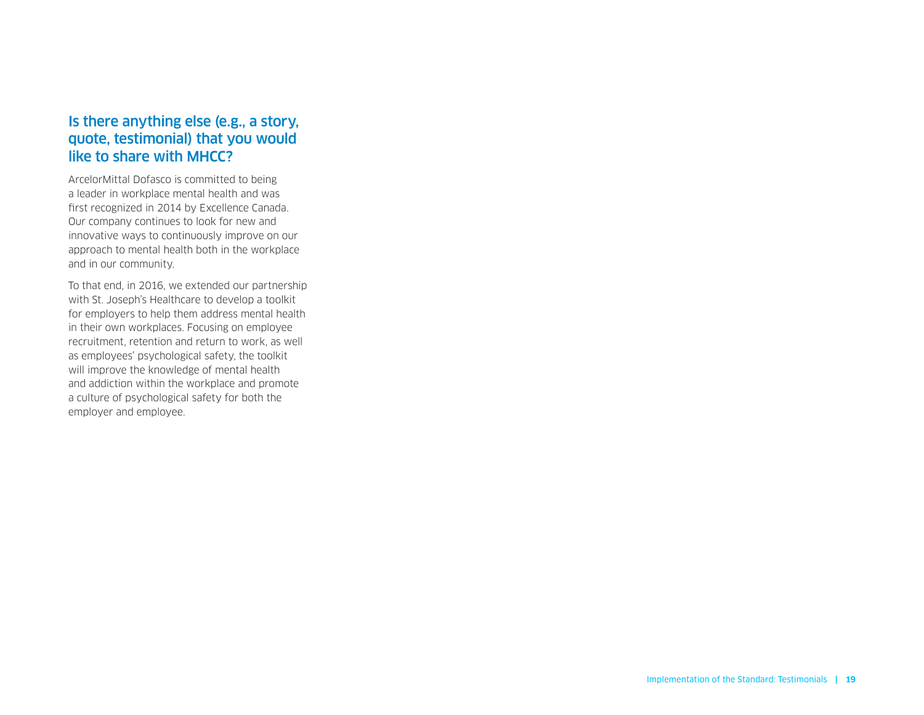### Is there anything else (e.g., a story, quote, testimonial) that you would like to share with MHCC?

ArcelorMittal Dofasco is committed to being a leader in workplace mental health and was first recognized in 2014 by Excellence Canada. Our company continues to look for new and innovative ways to continuously improve on our approach to mental health both in the workplace and in our community.

To that end, in 2016, we extended our partnership with St. Joseph's Healthcare to develop a toolkit for employers to help them address mental health in their own workplaces. Focusing on employee recruitment, retention and return to work, as well as employees' psychological safety, the toolkit will improve the knowledge of mental health and addiction within the workplace and promote a culture of psychological safety for both the employer and employee.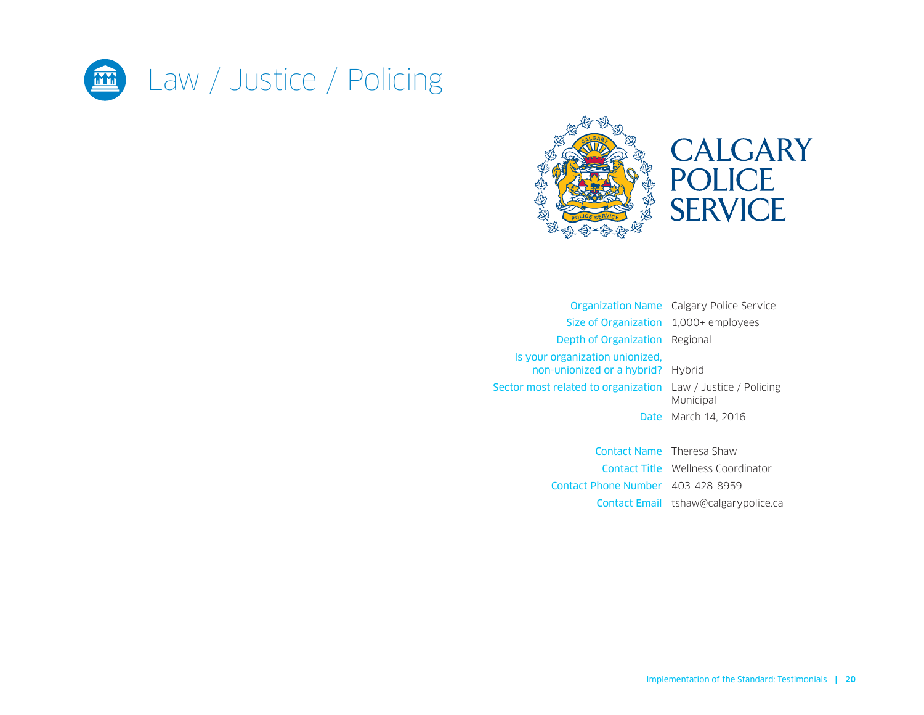<span id="page-19-0"></span>



|                                                                      | <b>Organization Name</b> Calgary Police Service |
|----------------------------------------------------------------------|-------------------------------------------------|
| Size of Organization 1,000+ employees                                |                                                 |
| <b>Depth of Organization</b> Regional                                |                                                 |
| Is your organization unionized.<br>non-unionized or a hybrid? Hybrid |                                                 |
| Sector most related to organization Law / Justice / Policing         | Municipal                                       |
|                                                                      | <b>Date</b> March 14, 2016                      |
|                                                                      |                                                 |
| Contact Name Theresa Shaw                                            |                                                 |
|                                                                      |                                                 |

Contact Title Wellness Coordinator Contact Phone Number 403-428-8959 Contact Email [tshaw@calgarypolice.ca](mailto:tshaw%40calgarypolice.ca?subject=)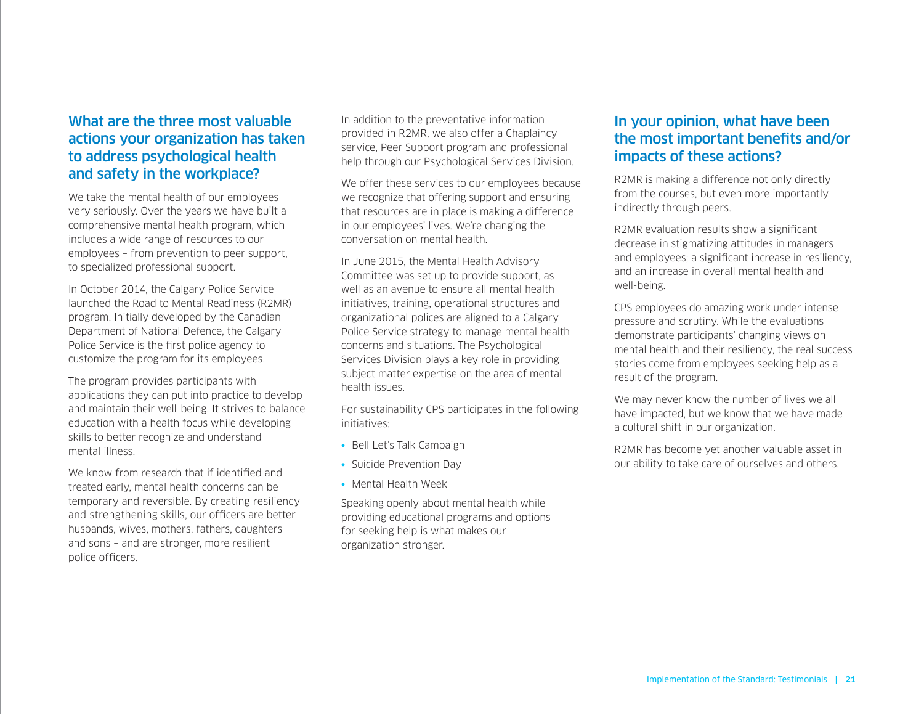We take the mental health of our employees very seriously. Over the years we have built a comprehensive mental health program, which includes a wide range of resources to our employees – from prevention to peer support, to specialized professional support.

In October 2014, the Calgary Police Service launched the Road to Mental Readiness (R2MR) program. Initially developed by the Canadian Department of National Defence, the Calgary Police Service is the first police agency to customize the program for its employees.

The program provides participants with applications they can put into practice to develop and maintain their well-being. It strives to balance education with a health focus while developing skills to better recognize and understand mental illness.

We know from research that if identified and treated early, mental health concerns can be temporary and reversible. By creating resiliency and strengthening skills, our officers are better husbands, wives, mothers, fathers, daughters and sons – and are stronger, more resilient police officers.

In addition to the preventative information provided in R2MR, we also offer a Chaplaincy service, Peer Support program and professional help through our Psychological Services Division.

We offer these services to our employees because we recognize that offering support and ensuring that resources are in place is making a difference in our employees' lives. We're changing the conversation on mental health.

In June 2015, the Mental Health Advisory Committee was set up to provide support, as well as an avenue to ensure all mental health initiatives, training, operational structures and organizational polices are aligned to a Calgary Police Service strategy to manage mental health concerns and situations. The Psychological Services Division plays a key role in providing subject matter expertise on the area of mental health issues.

For sustainability CPS participates in the following initiatives:

- Bell Let's Talk Campaign
- Suicide Prevention Day
- Mental Health Week

Speaking openly about mental health while providing educational programs and options for seeking help is what makes our organization stronger.

#### In your opinion, what have been the most important benefits and/or impacts of these actions?

R2MR is making a difference not only directly from the courses, but even more importantly indirectly through peers.

R2MR evaluation results show a significant decrease in stigmatizing attitudes in managers and employees; a significant increase in resiliency, and an increase in overall mental health and well-being.

CPS employees do amazing work under intense pressure and scrutiny. While the evaluations demonstrate participants' changing views on mental health and their resiliency, the real success stories come from employees seeking help as a result of the program.

We may never know the number of lives we all have impacted, but we know that we have made a cultural shift in our organization.

R2MR has become yet another valuable asset in our ability to take care of ourselves and others.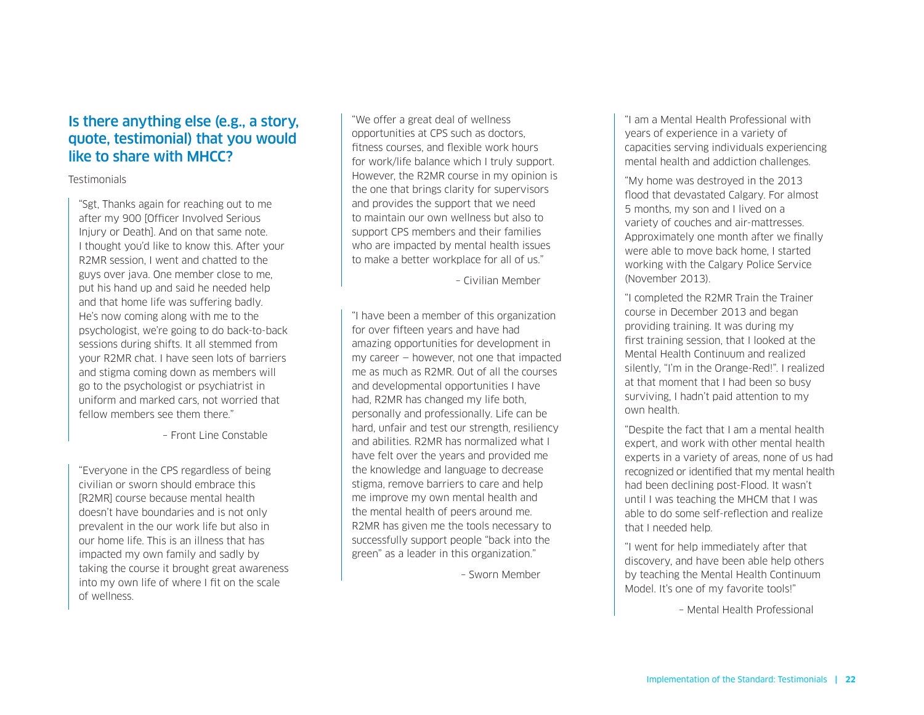#### Is there anything else (e.g., a story, quote, testimonial) that you would like to share with MHCC?

#### **Testimonials**

"Sgt, Thanks again for reaching out to me after my 900 [Officer Involved Serious Injury or Death]. And on that same note. I thought you'd like to know this. After your R2MR session, I went and chatted to the guys over java. One member close to me, put his hand up and said he needed help and that home life was suffering badly. He's now coming along with me to the psychologist, we're going to do back-to-back sessions during shifts. It all stemmed from your R2MR chat. I have seen lots of barriers and stigma coming down as members will go to the psychologist or psychiatrist in uniform and marked cars, not worried that fellow members see them there."

– Front Line Constable

"Everyone in the CPS regardless of being civilian or sworn should embrace this [R2MR] course because mental health doesn't have boundaries and is not only prevalent in the our work life but also in our home life. This is an illness that has impacted my own family and sadly by taking the course it brought great awareness into my own life of where I fit on the scale of wellness.

"We offer a great deal of wellness opportunities at CPS such as doctors, fitness courses, and flexible work hours for work/life balance which I truly support. However, the R2MR course in my opinion is the one that brings clarity for supervisors and provides the support that we need to maintain our own wellness but also to support CPS members and their families who are impacted by mental health issues to make a better workplace for all of us."

– Civilian Member

"I have been a member of this organization for over fifteen years and have had amazing opportunities for development in my career — however, not one that impacted me as much as R2MR. Out of all the courses and developmental opportunities I have had, R2MR has changed my life both, personally and professionally. Life can be hard, unfair and test our strength, resiliency and abilities. R2MR has normalized what I have felt over the years and provided me the knowledge and language to decrease stigma, remove barriers to care and help me improve my own mental health and the mental health of peers around me. R2MR has given me the tools necessary to successfully support people "back into the green" as a leader in this organization."

– Sworn Member

"I am a Mental Health Professional with years of experience in a variety of capacities serving individuals experiencing mental health and addiction challenges.

"My home was destroyed in the 2013 flood that devastated Calgary. For almost 5 months, my son and I lived on a variety of couches and air-mattresses. Approximately one month after we finally were able to move back home, I started working with the Calgary Police Service (November 2013).

"I completed the R2MR Train the Trainer course in December 2013 and began providing training. It was during my first training session, that I looked at the Mental Health Continuum and realized silently, "I'm in the Orange-Red!". I realized at that moment that I had been so busy surviving, I hadn't paid attention to my own health.

"Despite the fact that I am a mental health expert, and work with other mental health experts in a variety of areas, none of us had recognized or identified that my mental health had been declining post-Flood. It wasn't until I was teaching the MHCM that I was able to do some self-reflection and realize that I needed help.

"I went for help immediately after that discovery, and have been able help others by teaching the Mental Health Continuum Model. It's one of my favorite tools!"

– Mental Health Professional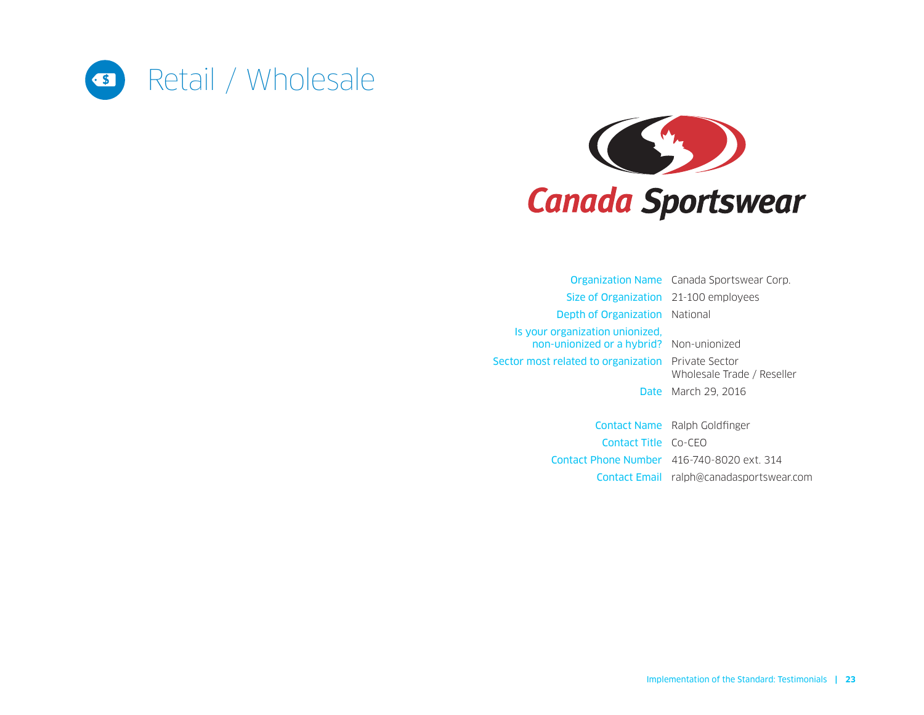<span id="page-22-0"></span>



Organization Name Canada Sportswear Corp. Size of Organization 21-100 employees Depth of Organization National Is your organization unionized, non‑unionized or a hybrid? Non-unionized Sector most related to organization Private Sector Wholesale Trade / Reseller **Date** March 29, 2016

> Contact Name Ralph Goldfinger Contact Title Co-CEO Contact Phone Number 416-740-8020 ext. 314 Contact Email [ralph@canadasportswear.com](mailto:ralph%40canadasportswear.com?subject=)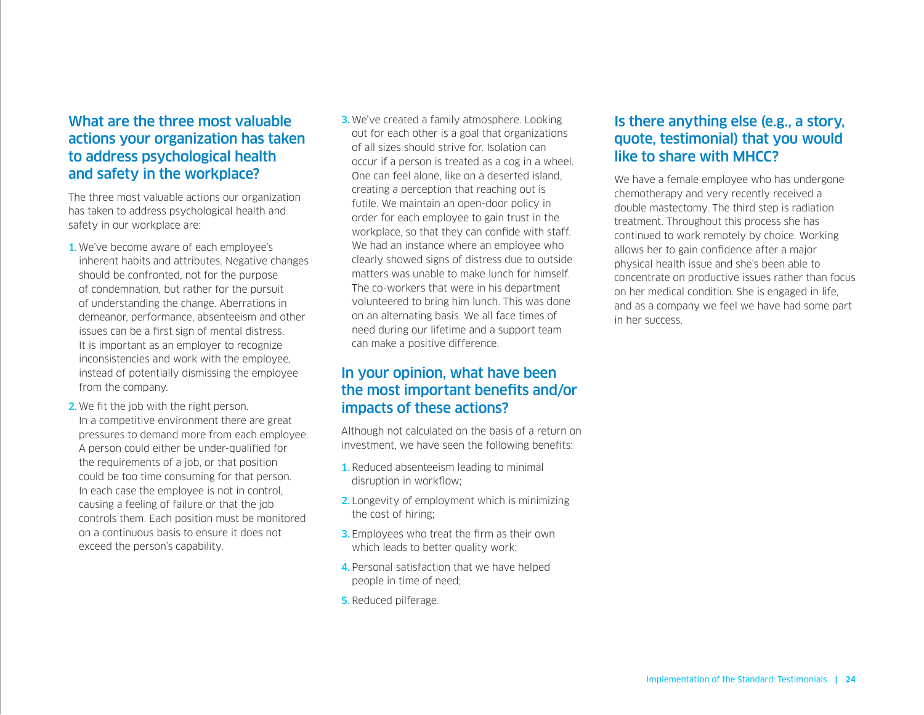The three most valuable actions our organization has taken to address psychological health and safety in our workplace are:

- 1.We've become aware of each employee's inherent habits and attributes. Negative changes should be confronted, not for the purpose of condemnation, but rather for the pursuit of understanding the change. Aberrations in demeanor, performance, absenteeism and other issues can be a first sign of mental distress. It is important as an employer to recognize inconsistencies and work with the employee, instead of potentially dismissing the employee from the company.
- 2.We fit the job with the right person. In a competitive environment there are great pressures to demand more from each employee. A person could either be under-qualified for the requirements of a job, or that position could be too time consuming for that person. In each case the employee is not in control, causing a feeling of failure or that the job controls them. Each position must be monitored on a continuous basis to ensure it does not exceed the person's capability.
- **3.** We've created a family atmosphere. Looking out for each other is a goal that organizations of all sizes should strive for. Isolation can occur if a person is treated as a cog in a wheel. One can feel alone, like on a deserted island, creating a perception that reaching out is futile. We maintain an open-door policy in order for each employee to gain trust in the workplace, so that they can confide with staff. We had an instance where an employee who clearly showed signs of distress due to outside matters was unable to make lunch for himself. The co-workers that were in his department volunteered to bring him lunch. This was done on an alternating basis. We all face times of need during our lifetime and a support team can make a positive difference.

#### In your opinion, what have been the most important benefits and/or impacts of these actions?

Although not calculated on the basis of a return on investment, we have seen the following benefits:

- 1. Reduced absenteeism leading to minimal disruption in workflow;
- 2. Longevity of employment which is minimizing the cost of hiring;
- **3.** Employees who treat the firm as their own which leads to better quality work;
- 4.Personal satisfaction that we have helped people in time of need;
- 5. Reduced pilferage.

#### Is there anything else (e.g., a story, quote, testimonial) that you would like to share with MHCC?

We have a female employee who has undergone chemotherapy and very recently received a double mastectomy. The third step is radiation treatment. Throughout this process she has continued to work remotely by choice. Working allows her to gain confidence after a major physical health issue and she's been able to concentrate on productive issues rather than focus on her medical condition. She is engaged in life, and as a company we feel we have had some part in her success.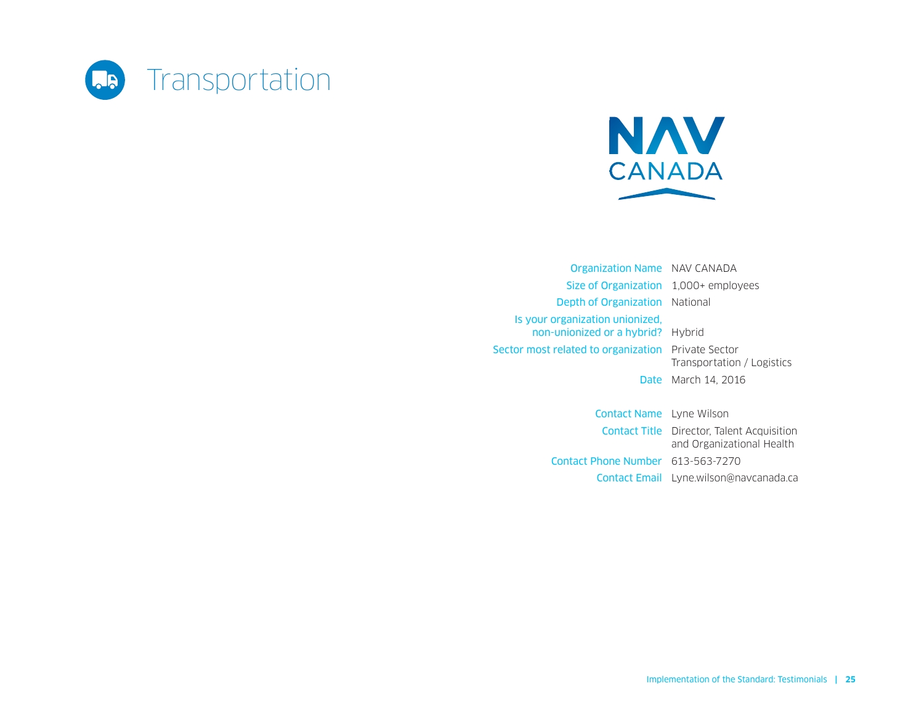<span id="page-24-0"></span>



Organization Name NAV CANADA Size of Organization 1,000+ employees Depth of Organization National Is your organization unionized, non‑unionized or a hybrid? Hybrid Sector most related to organization Private Sector Transportation / Logistics Date March 14, 2016

> Contact Name Lyne Wilson Contact Title Director, Talent Acquisition and Organizational Health Contact Phone Number 613-563-7270 Contact Email [Lyne.wilson@navcanada.ca](mailto:Lyne.wilson%40navcanada.ca?subject=)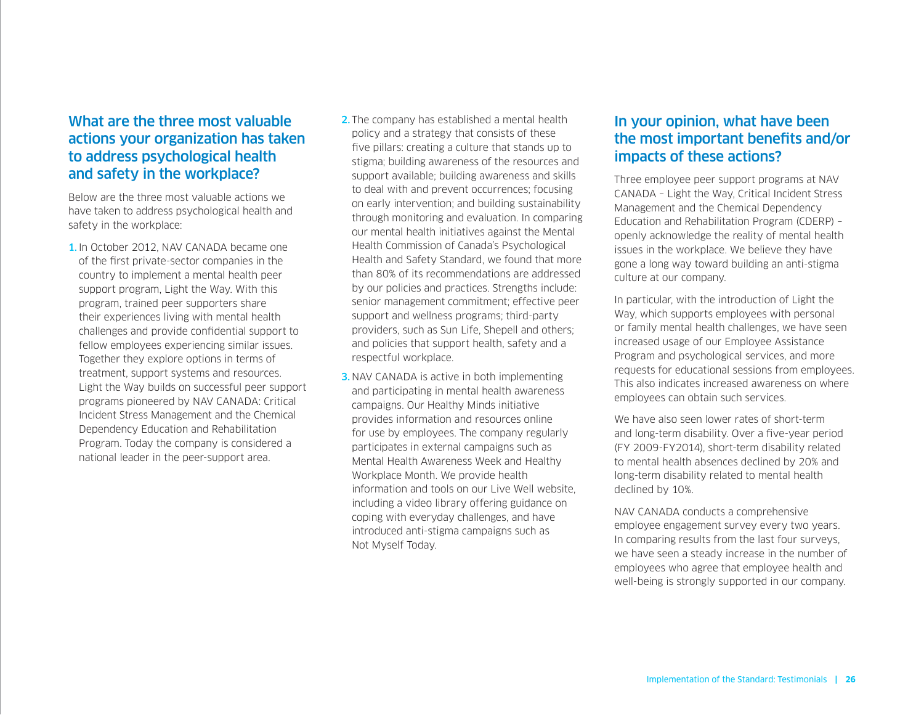Below are the three most valuable actions we have taken to address psychological health and safety in the workplace:

- 1. In October 2012, NAV CANADA became one of the first private-sector companies in the country to implement a mental health peer support program, Light the Way. With this program, trained peer supporters share their experiences living with mental health challenges and provide confidential support to fellow employees experiencing similar issues. Together they explore options in terms of treatment, support systems and resources. Light the Way builds on successful peer support programs pioneered by NAV CANADA: Critical Incident Stress Management and the Chemical Dependency Education and Rehabilitation Program. Today the company is considered a national leader in the peer-support area.
- 2. The company has established a mental health policy and a strategy that consists of these five pillars: creating a culture that stands up to stigma; building awareness of the resources and support available; building awareness and skills to deal with and prevent occurrences; focusing on early intervention; and building sustainability through monitoring and evaluation. In comparing our mental health initiatives against the Mental Health Commission of Canada's Psychological Health and Safety Standard, we found that more than 80% of its recommendations are addressed by our policies and practices. Strengths include: senior management commitment; effective peer support and wellness programs; third-party providers, such as Sun Life, Shepell and others; and policies that support health, safety and a respectful workplace.
- **3. NAV CANADA** is active in both implementing and participating in mental health awareness campaigns. Our Healthy Minds initiative provides information and resources online for use by employees. The company regularly participates in external campaigns such as Mental Health Awareness Week and Healthy Workplace Month. We provide health information and tools on our Live Well website, including a video library offering guidance on coping with everyday challenges, and have introduced anti-stigma campaigns such as Not Myself Today.

#### In your opinion, what have been the most important benefits and/or impacts of these actions?

Three employee peer support programs at NAV CANADA – Light the Way, Critical Incident Stress Management and the Chemical Dependency Education and Rehabilitation Program (CDERP) – openly acknowledge the reality of mental health issues in the workplace. We believe they have gone a long way toward building an anti-stigma culture at our company.

In particular, with the introduction of Light the Way, which supports employees with personal or family mental health challenges, we have seen increased usage of our Employee Assistance Program and psychological services, and more requests for educational sessions from employees. This also indicates increased awareness on where employees can obtain such services.

We have also seen lower rates of short-term and long-term disability. Over a five-year period (FY 2009-FY2014), short-term disability related to mental health absences declined by 20% and long-term disability related to mental health declined by 10%.

NAV CANADA conducts a comprehensive employee engagement survey every two years. In comparing results from the last four surveys, we have seen a steady increase in the number of employees who agree that employee health and well-being is strongly supported in our company.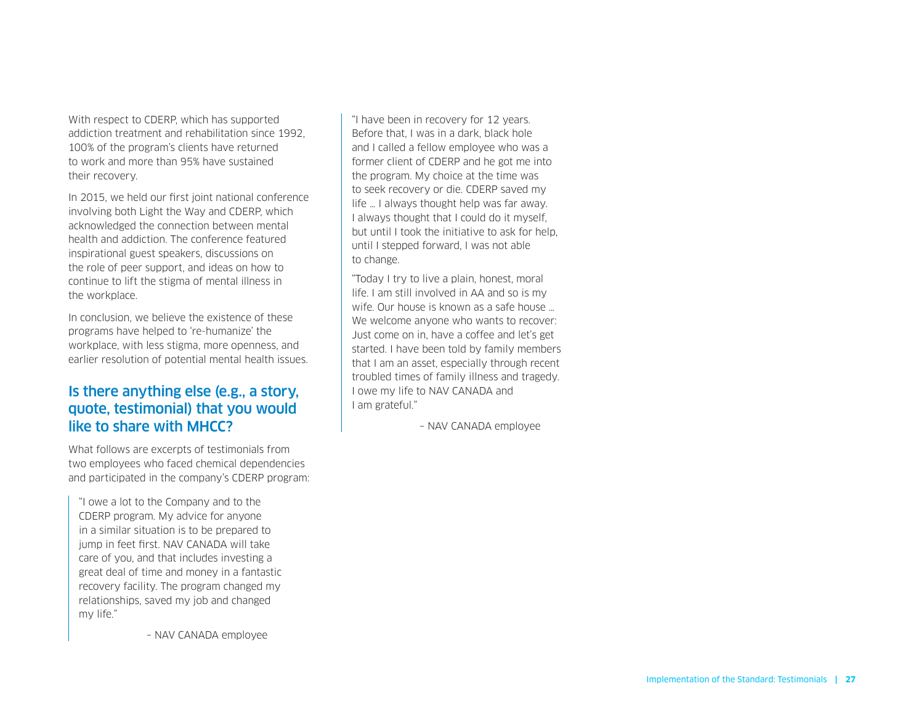With respect to CDERP, which has supported addiction treatment and rehabilitation since 1992, 100% of the program's clients have returned to work and more than 95% have sustained their recovery.

In 2015, we held our first joint national conference involving both Light the Way and CDERP, which acknowledged the connection between mental health and addiction. The conference featured inspirational guest speakers, discussions on the role of peer support, and ideas on how to continue to lift the stigma of mental illness in the workplace.

In conclusion, we believe the existence of these programs have helped to 're-humanize' the workplace, with less stigma, more openness, and earlier resolution of potential mental health issues.

#### Is there anything else (e.g., a story, quote, testimonial) that you would like to share with MHCC?

What follows are excerpts of testimonials from two employees who faced chemical dependencies and participated in the company's CDERP program:

"I owe a lot to the Company and to the CDERP program. My advice for anyone in a similar situation is to be prepared to jump in feet first. NAV CANADA will take care of you, and that includes investing a great deal of time and money in a fantastic recovery facility. The program changed my relationships, saved my job and changed my life."

– NAV CANADA employee

"I have been in recovery for 12 years. Before that, I was in a dark, black hole and I called a fellow employee who was a former client of CDERP and he got me into the program. My choice at the time was to seek recovery or die. CDERP saved my life … I always thought help was far away. I always thought that I could do it myself, but until I took the initiative to ask for help, until I stepped forward, I was not able to change.

"Today I try to live a plain, honest, moral life. I am still involved in AA and so is my wife. Our house is known as a safe house We welcome anyone who wants to recover: Just come on in, have a coffee and let's get started. I have been told by family members that I am an asset, especially through recent troubled times of family illness and tragedy. I owe my life to NAV CANADA and I am grateful."

– NAV CANADA employee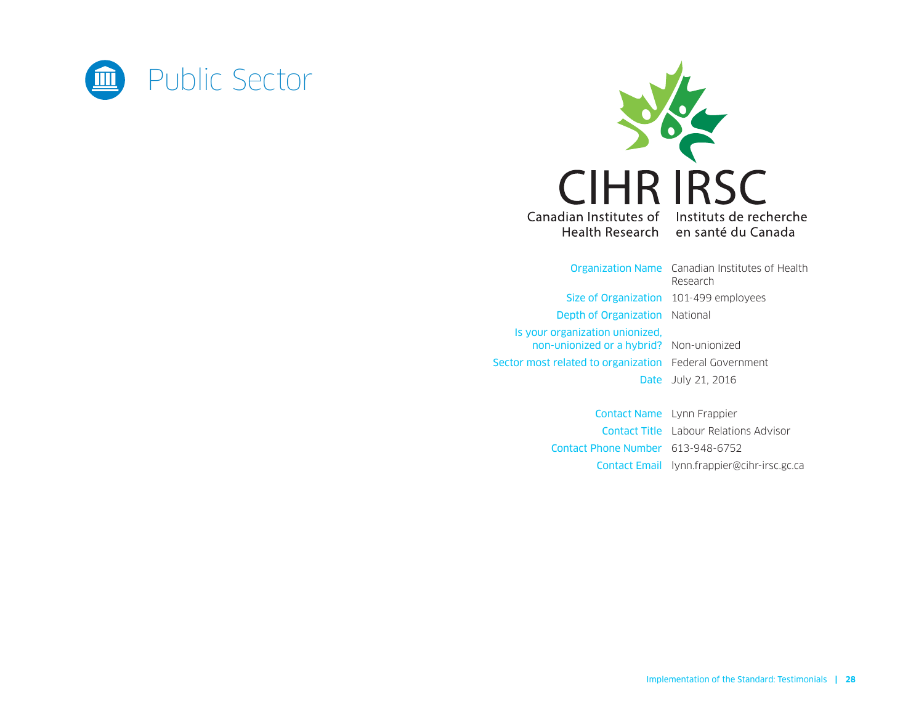<span id="page-27-0"></span>



Organization Name Canadian Institutes of Health Research Size of Organization 101-499 employees Depth of Organization National Is your organization unionized, non‑unionized or a hybrid? Non-unionized Sector most related to organization Federal Government **Date** July 21, 2016

> Contact Name Lynn Frappier Contact Title Labour Relations Advisor Contact Phone Number 613-948-6752 Contact Email [lynn.frappier@cihr-irsc.gc.ca](mailto:lynn.frappier%40cihr-irsc.gc.ca?subject=)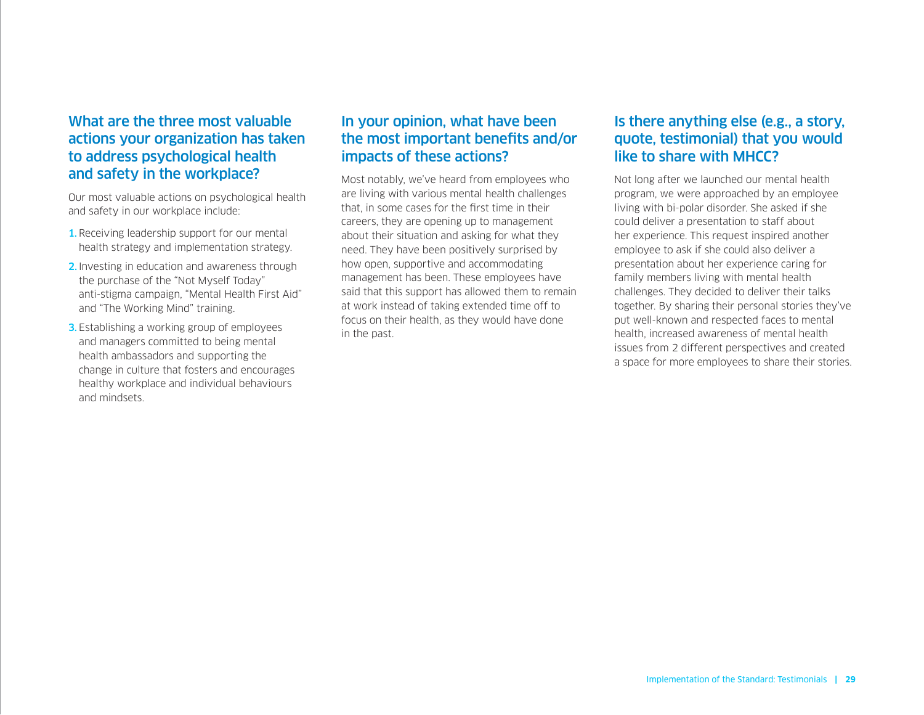Our most valuable actions on psychological health and safety in our workplace include:

- 1. Receiving leadership support for our mental health strategy and implementation strategy.
- 2. Investing in education and awareness through the purchase of the "Not Myself Today" anti-stigma campaign, "Mental Health First Aid" and "The Working Mind" training.
- **3.** Establishing a working group of employees and managers committed to being mental health ambassadors and supporting the change in culture that fosters and encourages healthy workplace and individual behaviours and mindsets.

## In your opinion, what have been the most important benefits and/or impacts of these actions?

Most notably, we've heard from employees who are living with various mental health challenges that, in some cases for the first time in their careers, they are opening up to management about their situation and asking for what they need. They have been positively surprised by how open, supportive and accommodating management has been. These employees have said that this support has allowed them to remain at work instead of taking extended time off to focus on their health, as they would have done in the past.

#### Is there anything else (e.g., a story, quote, testimonial) that you would like to share with MHCC?

Not long after we launched our mental health program, we were approached by an employee living with bi-polar disorder. She asked if she could deliver a presentation to staff about her experience. This request inspired another employee to ask if she could also deliver a presentation about her experience caring for family members living with mental health challenges. They decided to deliver their talks together. By sharing their personal stories they've put well-known and respected faces to mental health, increased awareness of mental health issues from 2 different perspectives and created a space for more employees to share their stories.